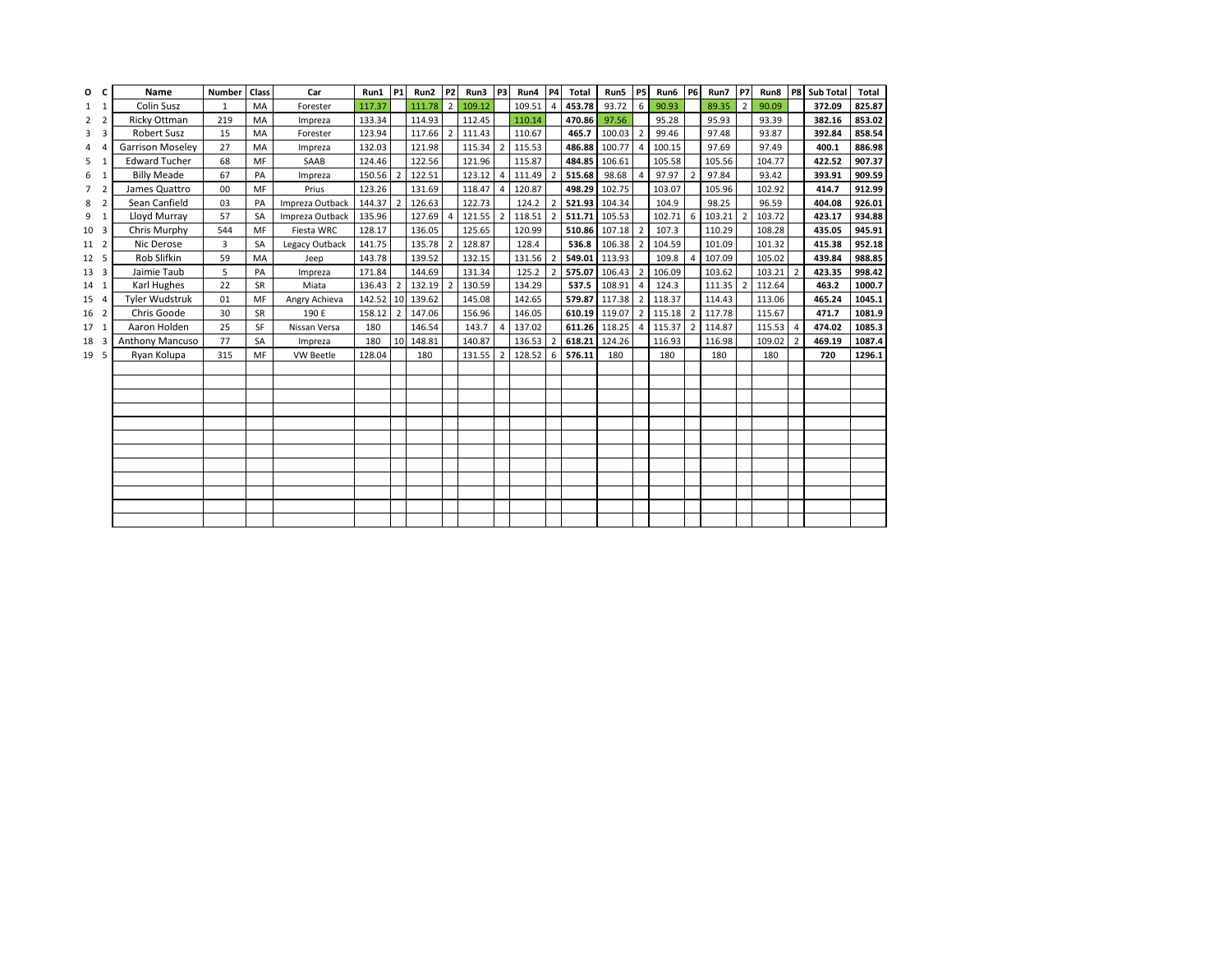| O               | C              | Name                 | <b>Number</b> | <b>Class</b> | Car             | Run1     | <b>P1</b>      | Run2   | P2             | Run3   | P3                       | Run4   | <b>P4</b>                | Total         | Run5          | <b>P5</b>                | Run6 P6 |                | Run7   | <b>P7</b>      | Run8   | P8             | <b>Sub Total</b> | <b>Total</b> |
|-----------------|----------------|----------------------|---------------|--------------|-----------------|----------|----------------|--------|----------------|--------|--------------------------|--------|--------------------------|---------------|---------------|--------------------------|---------|----------------|--------|----------------|--------|----------------|------------------|--------------|
| $1 \quad 1$     |                | Colin Susz           | $\mathbf{1}$  | MA           | Forester        | 117.37   |                | 111.78 | $\overline{2}$ | 109.12 |                          | 109.51 | $\overline{4}$           | 453.78        | 93.72         | 6 <sup>1</sup>           | 90.93   |                | 89.35  | $\overline{2}$ | 90.09  |                | 372.09           | 825.87       |
| 2               | $\overline{2}$ | Ricky Ottman         | 219           | MA           | Impreza         | 133.34   |                | 114.93 |                | 112.45 |                          | 110.14 |                          | 470.86        | 97.56         |                          | 95.28   |                | 95.93  |                | 93.39  |                | 382.16           | 853.02       |
| 3               | 3              | <b>Robert Susz</b>   | 15            | MA           | Forester        | 123.94   |                | 117.66 | $\overline{2}$ | 111.43 |                          | 110.67 |                          | 465.7         | 100.03        | $\overline{2}$           | 99.46   |                | 97.48  |                | 93.87  |                | 392.84           | 858.54       |
|                 | $\Delta$       | Garrison Moseley     | 27            | MA           | Impreza         | 132.03   |                | 121.98 |                | 115.34 | $\overline{2}$           | 115.53 |                          | 486.88        | 100.77        | 4                        | 100.15  |                | 97.69  |                | 97.49  |                | 400.1            | 886.98       |
| 5               | $\mathbf{1}$   | <b>Edward Tucher</b> | 68            | MF           | SAAB            | 124.46   |                | 122.56 |                | 121.96 |                          | 115.87 |                          | 484.85        | 106.61        |                          | 105.58  |                | 105.56 |                | 104.77 |                | 422.52           | 907.37       |
| 6               | $\mathbf{1}$   | <b>Billy Meade</b>   | 67            | PA           | Impreza         | 150.56   | $\mathcal{D}$  | 122.51 |                | 123.12 | $\overline{4}$           | 111.49 | $\overline{\phantom{a}}$ | 515.68        | 98.68         | Δ                        | 97.97   | $\overline{2}$ | 97.84  |                | 93.42  |                | 393.91           | 909.59       |
|                 | $\overline{2}$ | James Quattro        | 00            | MF           | Prius           | 123.26   |                | 131.69 |                | 118.47 | $\overline{4}$           | 120.87 |                          |               | 498.29 102.75 |                          | 103.07  |                | 105.96 |                | 102.92 |                | 414.7            | 912.99       |
| 8               | $\overline{2}$ | Sean Canfield        | 03            | PA           | Impreza Outback | 144.37 2 |                | 126.63 |                | 122.73 |                          | 124.2  |                          | 521.93 104.34 |               |                          | 104.9   |                | 98.25  |                | 96.59  |                | 404.08           | 926.01       |
| 9               | $\mathbf{1}$   | Lloyd Murray         | 57            | <b>SA</b>    | Impreza Outback | 135.96   |                | 127.69 | $\overline{4}$ | 121.55 | $\overline{\phantom{0}}$ | 118.51 | $\overline{2}$           | 511.71 105.53 |               |                          | 102.71  | 6              | 103.21 | $\overline{2}$ | 103.72 |                | 423.17           | 934.88       |
| 10 <sup>3</sup> |                | Chris Murphy         | 544           | MF           | Fiesta WRC      | 128.17   |                | 136.05 |                | 125.65 |                          | 120.99 |                          |               | 510.86 107.18 | $\overline{2}$           | 107.3   |                | 110.29 |                | 108.28 |                | 435.05           | 945.91       |
| 11 2            |                | Nic Derose           | 3             | <b>SA</b>    | Legacy Outback  | 141.75   |                | 135.78 | $\overline{2}$ | 128.87 |                          | 128.4  |                          | 536.8         | 106.38        | $\overline{\phantom{a}}$ | 104.59  |                | 101.09 |                | 101.32 |                | 415.38           | 952.18       |
| 12 <sub>5</sub> |                | Rob Slifkin          | 59            | MA           | Jeep            | 143.78   |                | 139.52 |                | 132.15 |                          | 131.56 | $\overline{\phantom{a}}$ | 549.01 113.93 |               |                          | 109.8   |                | 107.09 |                | 105.02 |                | 439.84           | 988.85       |
| 13 3            |                | Jaimie Taub          | 5             | PA           | Impreza         | 171.84   |                | 144.69 |                | 131.34 |                          | 125.2  | $\overline{\phantom{a}}$ |               | 575.07 106.43 | $\overline{\mathbf{c}}$  | 106.09  |                | 103.62 |                | 103.21 | $\overline{2}$ | 423.35           | 998.42       |
| 14 1            |                | Karl Hughes          | 22            | SR           | Miata           | 136.43   | $\overline{2}$ | 132.19 | $\overline{2}$ | 130.59 |                          | 134.29 |                          | 537.5         | 108.91        | 4                        | 124.3   |                | 111.35 | $\mathcal{L}$  | 112.64 |                | 463.2            | 1000.7       |
| 15 4            |                | Tyler Wudstruk       | 01            | MF           | Angry Achieva   | 142.52   | 10             | 139.62 |                | 145.08 |                          | 142.65 |                          | 579.87        | 117.38        | $\overline{\phantom{a}}$ | 118.37  |                | 114.43 |                | 113.06 |                | 465.24           | 1045.1       |
| 16 2            |                | Chris Goode          | 30            | <b>SR</b>    | 190 E           | 158.12   | $\overline{2}$ | 147.06 |                | 156.96 |                          | 146.05 |                          |               | 610.19 119.07 | 2                        | 115.18  | 2              | 117.78 |                | 115.67 |                | 471.7            | 1081.9       |
| 17 <sub>1</sub> |                | Aaron Holden         | 25            | SF           | Nissan Versa    | 180      |                | 146.54 |                | 143.7  | $\overline{4}$           | 137.02 |                          |               | 611.26 118.25 | $\Delta$                 | 115.37  | $\overline{2}$ | 114.87 |                | 115.53 | $\overline{4}$ | 474.02           | 1085.3       |
| 18 3            |                | Anthony Mancuso      | 77            | <b>SA</b>    | Impreza         | 180      | 10             | 148.81 |                | 140.87 |                          | 136.53 | $\overline{\phantom{a}}$ | 618.21        | 124.26        |                          | 116.93  |                | 116.98 |                | 109.02 | $\overline{2}$ | 469.19           | 1087.4       |
| 19 5            |                | Ryan Kolupa          | 315           | MF           | VW Beetle       | 128.04   |                | 180    |                | 131.55 | $\overline{2}$           | 128.52 | 6                        | 576.11        | 180           |                          | 180     |                | 180    |                | 180    |                | 720              | 1296.1       |
|                 |                |                      |               |              |                 |          |                |        |                |        |                          |        |                          |               |               |                          |         |                |        |                |        |                |                  |              |
|                 |                |                      |               |              |                 |          |                |        |                |        |                          |        |                          |               |               |                          |         |                |        |                |        |                |                  |              |
|                 |                |                      |               |              |                 |          |                |        |                |        |                          |        |                          |               |               |                          |         |                |        |                |        |                |                  |              |
|                 |                |                      |               |              |                 |          |                |        |                |        |                          |        |                          |               |               |                          |         |                |        |                |        |                |                  |              |
|                 |                |                      |               |              |                 |          |                |        |                |        |                          |        |                          |               |               |                          |         |                |        |                |        |                |                  |              |
|                 |                |                      |               |              |                 |          |                |        |                |        |                          |        |                          |               |               |                          |         |                |        |                |        |                |                  |              |
|                 |                |                      |               |              |                 |          |                |        |                |        |                          |        |                          |               |               |                          |         |                |        |                |        |                |                  |              |
|                 |                |                      |               |              |                 |          |                |        |                |        |                          |        |                          |               |               |                          |         |                |        |                |        |                |                  |              |
|                 |                |                      |               |              |                 |          |                |        |                |        |                          |        |                          |               |               |                          |         |                |        |                |        |                |                  |              |
|                 |                |                      |               |              |                 |          |                |        |                |        |                          |        |                          |               |               |                          |         |                |        |                |        |                |                  |              |
|                 |                |                      |               |              |                 |          |                |        |                |        |                          |        |                          |               |               |                          |         |                |        |                |        |                |                  |              |
|                 |                |                      |               |              |                 |          |                |        |                |        |                          |        |                          |               |               |                          |         |                |        |                |        |                |                  |              |